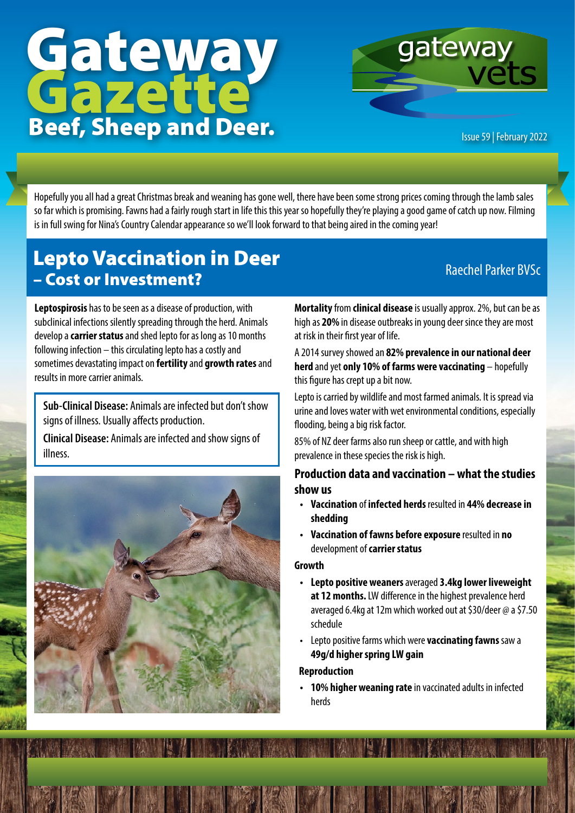# Gateway<br>Gazette Beef, Sheep and Deer. **Issue 59 | February 2022**



Hopefully you all had a great Christmas break and weaning has gone well, there have been some strong prices coming through the lamb sales so far which is promising. Fawns had a fairly rough start in life this this year so hopefully they're playing a good game of catch up now. Filming is in full swing for Nina's Country Calendar appearance so we'll look forward to that being aired in the coming year!

## Lepto Vaccination in Deer – Cost or Investment?<br>
— Cost or Investment?

**Leptospirosis** has to be seen as a disease of production, with subclinical infections silently spreading through the herd. Animals develop a **carrier status** and shed lepto for as long as 10 months following infection – this circulating lepto has a costly and sometimes devastating impact on **fertility** and **growth rates** and results in more carrier animals.

**Sub-Clinical Disease:** Animals are infected but don't show signs of illness. Usually affects production.

**Clinical Disease:** Animals are infected and show signs of illness.



**Mortality** from **clinical disease** is usually approx. 2%, but can be as high as **20%** in disease outbreaks in young deer since they are most at risk in their first year of life.

A 2014 survey showed an **82% prevalence in our national deer herd** and yet **only 10% of farms were vaccinating** – hopefully this figure has crept up a bit now.

Lepto is carried by wildlife and most farmed animals. It is spread via urine and loves water with wet environmental conditions, especially flooding, being a big risk factor.

85% of NZ deer farms also run sheep or cattle, and with high prevalence in these species the risk is high.

#### **Production data and vaccination – what the studies show us**

- **• Vaccination** of **infected herds** resulted in **44% decrease in shedding**
- **• Vaccination of fawns before exposure** resulted in **no**  development of **carrier status**

#### **Growth**

- **• Lepto positive weaners** averaged **3.4kg lower liveweight at 12 months.** LW difference in the highest prevalence herd averaged 6.4kg at 12m which worked out at \$30/deer @ a \$7.50 schedule
- Lepto positive farms which were **vaccinating fawns** saw a **49g/d higher spring LW gain**

#### **Reproduction**

**• 10% higher weaning rate** in vaccinated adults in infected herds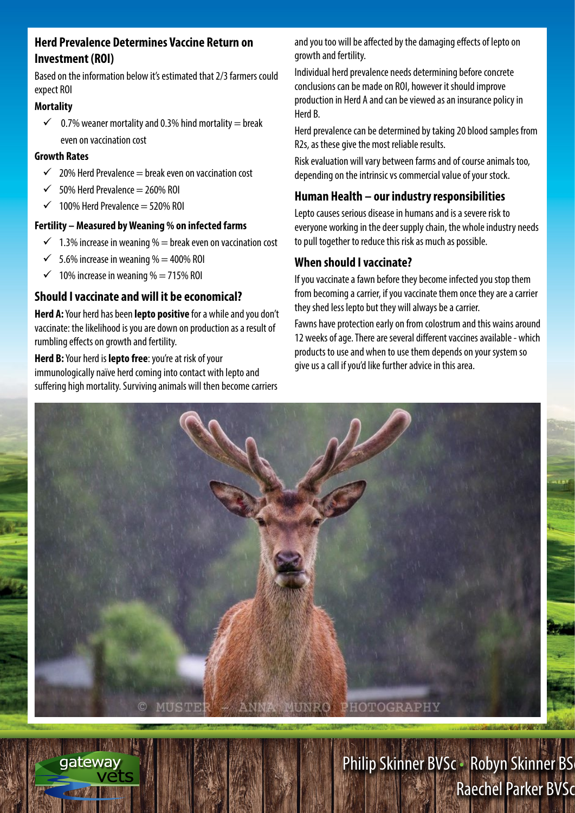#### **Herd Prevalence Determines Vaccine Return on Investment (ROI)**

Based on the information below it's estimated that 2/3 farmers could expect ROI

#### **Mortality**

 $\checkmark$  0.7% weaner mortality and 0.3% hind mortality = break even on vaccination cost

#### **Growth Rates**

- $\checkmark$  20% Herd Prevalence = break even on vaccination cost
- 50% Herd Prevalence  $= 260%$  ROI
- $\checkmark$  100% Herd Prevalence = 520% ROI

#### **Fertility – Measured by Weaning % on infected farms**

- $\checkmark$  1.3% increase in weaning % = break even on vaccination cost
- $\checkmark$  5.6% increase in weaning % = 400% ROI
- $\checkmark$  10% increase in weaning % = 715% ROI

gateway

#### **Should I vaccinate and will it be economical?**

**Herd A:** Your herd has been **lepto positive** for a while and you don't vaccinate: the likelihood is you are down on production as a result of rumbling effects on growth and fertility.

**Herd B:** Your herd is **lepto free**: you're at risk of your immunologically naïve herd coming into contact with lepto and suffering high mortality. Surviving animals will then become carriers and you too will be affected by the damaging effects of lepto on growth and fertility.

Individual herd prevalence needs determining before concrete conclusions can be made on ROI, however it should improve production in Herd A and can be viewed as an insurance policy in Herd B.

Herd prevalence can be determined by taking 20 blood samples from R2s, as these give the most reliable results.

Risk evaluation will vary between farms and of course animals too, depending on the intrinsic vs commercial value of your stock.

#### **Human Health – our industry responsibilities**

Lepto causes serious disease in humans and is a severe risk to everyone working in the deer supply chain, the whole industry needs to pull together to reduce this risk as much as possible.

#### **When should I vaccinate?**

If you vaccinate a fawn before they become infected you stop them from becoming a carrier, if you vaccinate them once they are a carrier they shed less lepto but they will always be a carrier.

Fawns have protection early on from colostrum and this wains around 12 weeks of age. There are several different vaccines available - which products to use and when to use them depends on your system so give us a call if you'd like further advice in this area.



Philip Skinner BVSc · Robyn Skinner BS **Raechel Parker BVSc**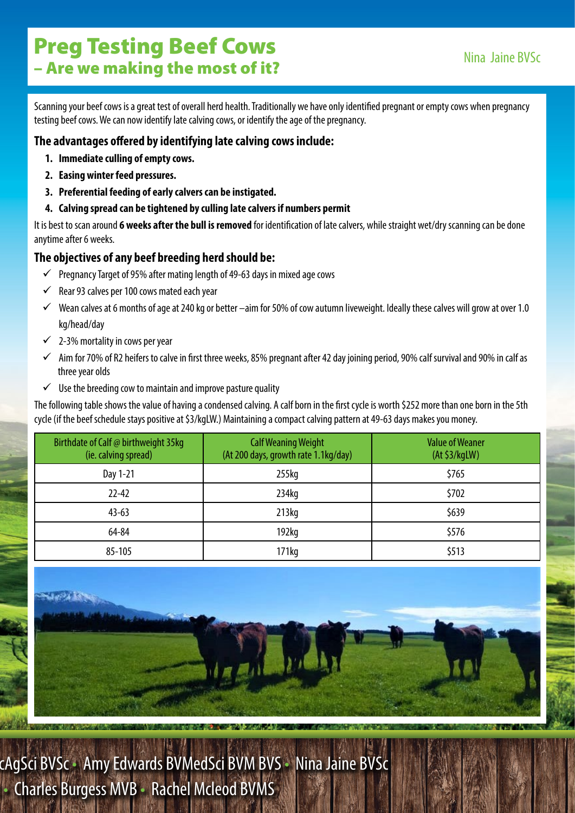Scanning your beef cows is a great test of overall herd health. Traditionally we have only identified pregnant or empty cows when pregnancy testing beef cows. We can now identify late calving cows, or identify the age of the pregnancy.

#### **The advantages offered by identifying late calving cows include:**

- **1. Immediate culling of empty cows.**
- **2. Easing winter feed pressures.**
- **3. Preferential feeding of early calvers can be instigated.**
- **4. Calving spread can be tightened by culling late calvers if numbers permit**

It is best to scan around **6 weeks after the bull is removed** for identification of late calvers, while straight wet/dry scanning can be done anytime after 6 weeks.

#### **The objectives of any beef breeding herd should be:**

- $\checkmark$  Pregnancy Target of 95% after mating length of 49-63 days in mixed age cows
- $\checkmark$  Rear 93 calves per 100 cows mated each year
- $\checkmark$  Wean calves at 6 months of age at 240 kg or better –aim for 50% of cow autumn liveweight. Ideally these calves will grow at over 1.0 kg/head/day
- $\checkmark$  2-3% mortality in cows per year
- $\checkmark$  Aim for 70% of R2 heifers to calve in first three weeks, 85% pregnant after 42 day joining period, 90% calf survival and 90% in calf as three year olds
- $\checkmark$  Use the breeding cow to maintain and improve pasture quality

The following table shows the value of having a condensed calving. A calf born in the first cycle is worth \$252 more than one born in the 5th cycle (if the beef schedule stays positive at \$3/kgLW.) Maintaining a compact calving pattern at 49-63 days makes you money.

| Birthdate of Calf @ birthweight 35kg<br>(ie. calving spread) | <b>Calf Weaning Weight</b><br>(At 200 days, growth rate 1.1kg/day) | <b>Value of Weaner</b><br>(At \$3/kgLW) |
|--------------------------------------------------------------|--------------------------------------------------------------------|-----------------------------------------|
| Day 1-21                                                     | $255$ kg                                                           | \$765                                   |
| $22 - 42$                                                    | 234 <sub>kq</sub>                                                  | \$702                                   |
| $43 - 63$                                                    | 213 <sub>kq</sub>                                                  | \$639                                   |
| 64-84                                                        | 192 <sub>kq</sub>                                                  | \$576                                   |
| 85-105                                                       | 171kg                                                              | \$513                                   |



cAgSci BVSc • Amy Edwards BVMedSci BVM BVS • Nina Jaine BVSc • Charles Burgess MVB • Rachel Mcleod BVMS